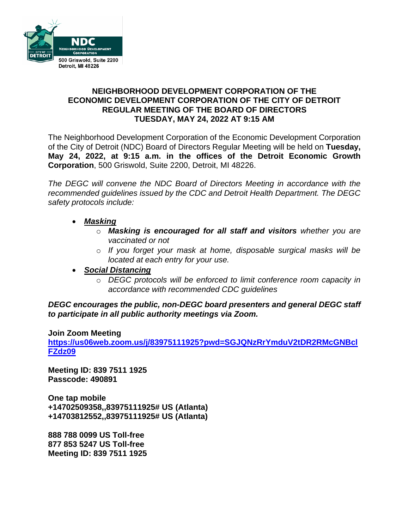

## **NEIGHBORHOOD DEVELOPMENT CORPORATION OF THE ECONOMIC DEVELOPMENT CORPORATION OF THE CITY OF DETROIT REGULAR MEETING OF THE BOARD OF DIRECTORS TUESDAY, MAY 24, 2022 AT 9:15 AM**

The Neighborhood Development Corporation of the Economic Development Corporation of the City of Detroit (NDC) Board of Directors Regular Meeting will be held on **Tuesday, May 24, 2022, at 9:15 a.m. in the offices of the Detroit Economic Growth Corporation**, 500 Griswold, Suite 2200, Detroit, MI 48226.

*The DEGC will convene the NDC Board of Directors Meeting in accordance with the recommended guidelines issued by the CDC and Detroit Health Department. The DEGC safety protocols include:*

- *Masking*
	- o *Masking is encouraged for all staff and visitors whether you are vaccinated or not*
	- o *If you forget your mask at home, disposable surgical masks will be located at each entry for your use.*
- *Social Distancing* 
	- o *DEGC protocols will be enforced to limit conference room capacity in accordance with recommended CDC guidelines*

*DEGC encourages the public, non-DEGC board presenters and general DEGC staff to participate in all public authority meetings via Zoom.* 

**Join Zoom Meeting** 

**[https://us06web.zoom.us/j/83975111925?pwd=SGJQNzRrYmduV2tDR2RMcGNBcl](https://us06web.zoom.us/j/83975111925?pwd=SGJQNzRrYmduV2tDR2RMcGNBclFZdz09) [FZdz09](https://us06web.zoom.us/j/83975111925?pwd=SGJQNzRrYmduV2tDR2RMcGNBclFZdz09)**

**Meeting ID: 839 7511 1925 Passcode: 490891** 

**One tap mobile +14702509358,,83975111925# US (Atlanta) +14703812552,,83975111925# US (Atlanta)** 

**888 788 0099 US Toll-free 877 853 5247 US Toll-free Meeting ID: 839 7511 1925**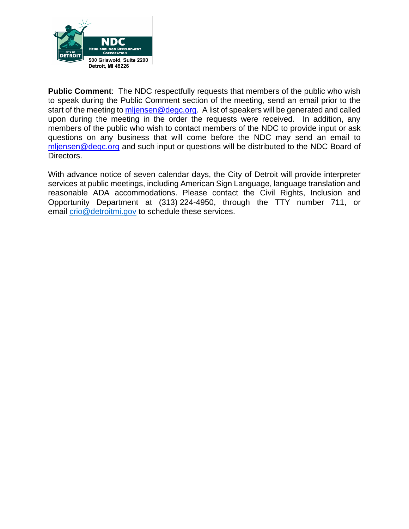

**Public Comment:** The NDC respectfully requests that members of the public who wish to speak during the Public Comment section of the meeting, send an email prior to the start of the meeting to [mljensen@degc.org.](mailto:mljensen@degc.org) A list of speakers will be generated and called upon during the meeting in the order the requests were received. In addition, any members of the public who wish to contact members of the NDC to provide input or ask questions on any business that will come before the NDC may send an email to [mljensen@degc.org](mailto:mljensen@degc.org) and such input or questions will be distributed to the NDC Board of Directors.

With advance notice of seven calendar days, the City of Detroit will provide interpreter services at public meetings, including American Sign Language, language translation and reasonable ADA accommodations. Please contact the Civil Rights, Inclusion and Opportunity Department at (313) 224-4950, through the TTY number 711, or email [crio@detroitmi.gov](mailto:crio@detroitmi.gov) to schedule these services.